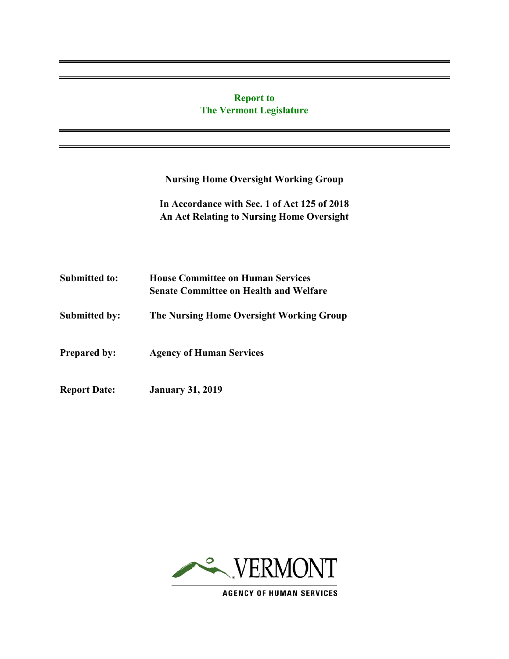# **Report to The Vermont Legislature**

**Nursing Home Oversight Working Group** 

**In Accordance with Sec. 1 of Act 125 of 2018 An Act Relating to Nursing Home Oversight**

| <b>Submitted to:</b> | <b>House Committee on Human Services</b><br><b>Senate Committee on Health and Welfare</b> |  |  |
|----------------------|-------------------------------------------------------------------------------------------|--|--|
| <b>Submitted by:</b> | The Nursing Home Oversight Working Group                                                  |  |  |
| <b>Prepared by:</b>  | <b>Agency of Human Services</b>                                                           |  |  |
| <b>Report Date:</b>  | <b>January 31, 2019</b>                                                                   |  |  |



**AGENCY OF HUMAN SERVICES**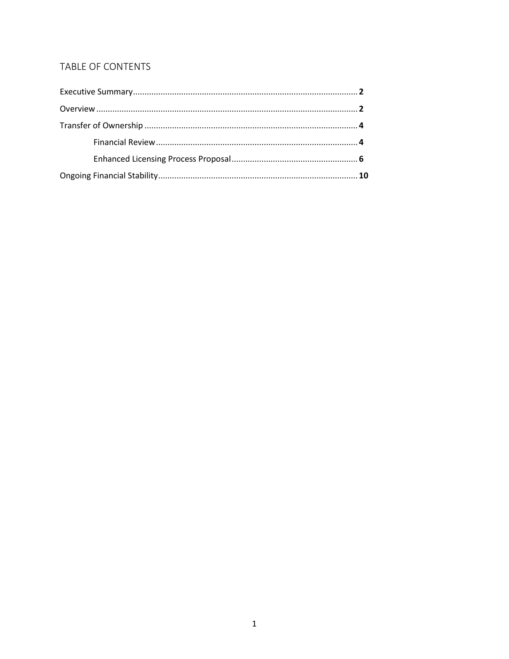# TABLE OF CONTENTS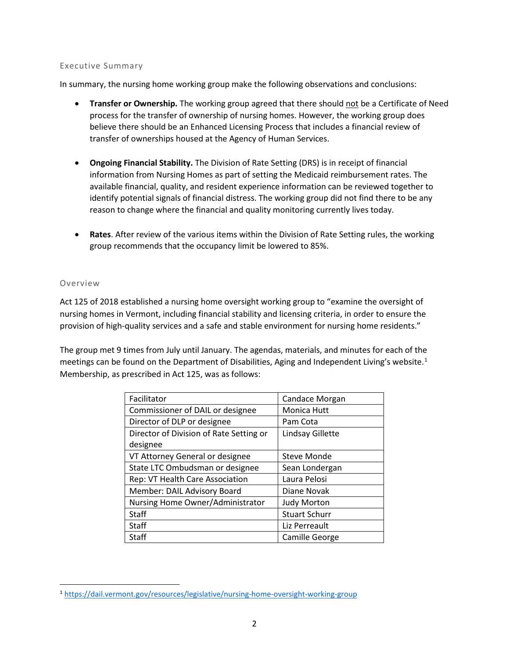#### Executive Summary

In summary, the nursing home working group make the following observations and conclusions:

- **Transfer or Ownership.** The working group agreed that there should not be a Certificate of Need process for the transfer of ownership of nursing homes. However, the working group does believe there should be an Enhanced Licensing Process that includes a financial review of transfer of ownerships housed at the Agency of Human Services.
- **Ongoing Financial Stability.** The Division of Rate Setting (DRS) is in receipt of financial information from Nursing Homes as part of setting the Medicaid reimbursement rates. The available financial, quality, and resident experience information can be reviewed together to identify potential signals of financial distress. The working group did not find there to be any reason to change where the financial and quality monitoring currently lives today.
- **Rates**. After review of the various items within the Division of Rate Setting rules, the working group recommends that the occupancy limit be lowered to 85%.

#### Overview

 $\overline{\phantom{a}}$ 

Act 125 of 2018 established a nursing home oversight working group to "examine the oversight of nursing homes in Vermont, including financial stability and licensing criteria, in order to ensure the provision of high-quality services and a safe and stable environment for nursing home residents."

The group met 9 times from July until January. The agendas, materials, and minutes for each of the meetings can be found on the Department of Disabilities, Aging and Independent Living's website.<sup>[1](#page-2-0)</sup> Membership, as prescribed in Act 125, was as follows:

| Facilitator                             | Candace Morgan       |  |
|-----------------------------------------|----------------------|--|
| Commissioner of DAIL or designee        | Monica Hutt          |  |
| Director of DLP or designee             | Pam Cota             |  |
| Director of Division of Rate Setting or | Lindsay Gillette     |  |
| designee                                |                      |  |
| VT Attorney General or designee         | Steve Monde          |  |
| State LTC Ombudsman or designee         | Sean Londergan       |  |
| Rep: VT Health Care Association         | Laura Pelosi         |  |
| Member: DAIL Advisory Board             | Diane Novak          |  |
| Nursing Home Owner/Administrator        | <b>Judy Morton</b>   |  |
| Staff                                   | <b>Stuart Schurr</b> |  |
| Staff                                   | Liz Perreault        |  |
| Staff                                   | Camille George       |  |

<span id="page-2-0"></span><sup>1</sup> <https://dail.vermont.gov/resources/legislative/nursing-home-oversight-working-group>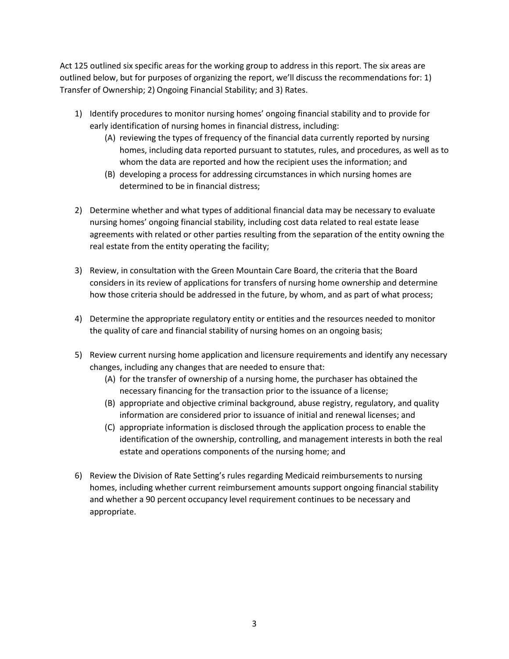Act 125 outlined six specific areas for the working group to address in this report. The six areas are outlined below, but for purposes of organizing the report, we'll discuss the recommendations for: 1) Transfer of Ownership; 2) Ongoing Financial Stability; and 3) Rates.

- 1) Identify procedures to monitor nursing homes' ongoing financial stability and to provide for early identification of nursing homes in financial distress, including:
	- (A) reviewing the types of frequency of the financial data currently reported by nursing homes, including data reported pursuant to statutes, rules, and procedures, as well as to whom the data are reported and how the recipient uses the information; and
	- (B) developing a process for addressing circumstances in which nursing homes are determined to be in financial distress;
- 2) Determine whether and what types of additional financial data may be necessary to evaluate nursing homes' ongoing financial stability, including cost data related to real estate lease agreements with related or other parties resulting from the separation of the entity owning the real estate from the entity operating the facility;
- 3) Review, in consultation with the Green Mountain Care Board, the criteria that the Board considers in its review of applications for transfers of nursing home ownership and determine how those criteria should be addressed in the future, by whom, and as part of what process;
- 4) Determine the appropriate regulatory entity or entities and the resources needed to monitor the quality of care and financial stability of nursing homes on an ongoing basis;
- 5) Review current nursing home application and licensure requirements and identify any necessary changes, including any changes that are needed to ensure that:
	- (A) for the transfer of ownership of a nursing home, the purchaser has obtained the necessary financing for the transaction prior to the issuance of a license;
	- (B) appropriate and objective criminal background, abuse registry, regulatory, and quality information are considered prior to issuance of initial and renewal licenses; and
	- (C) appropriate information is disclosed through the application process to enable the identification of the ownership, controlling, and management interests in both the real estate and operations components of the nursing home; and
- 6) Review the Division of Rate Setting's rules regarding Medicaid reimbursements to nursing homes, including whether current reimbursement amounts support ongoing financial stability and whether a 90 percent occupancy level requirement continues to be necessary and appropriate.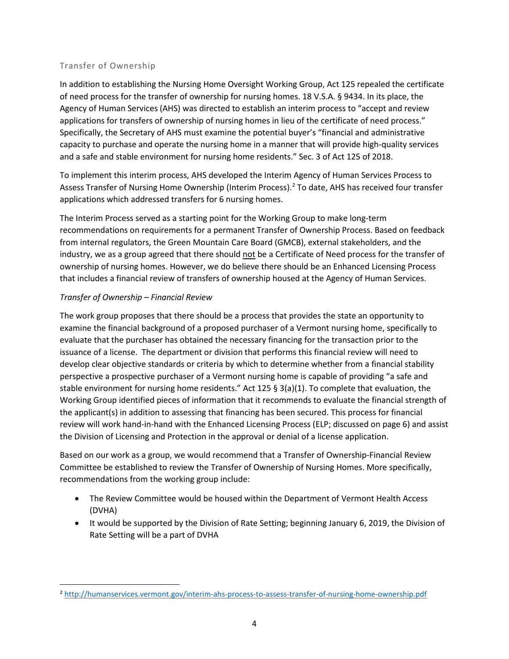#### Transfer of Ownership

In addition to establishing the Nursing Home Oversight Working Group, Act 125 repealed the certificate of need process for the transfer of ownership for nursing homes. 18 V.S.A. § 9434. In its place, the Agency of Human Services (AHS) was directed to establish an interim process to "accept and review applications for transfers of ownership of nursing homes in lieu of the certificate of need process." Specifically, the Secretary of AHS must examine the potential buyer's "financial and administrative capacity to purchase and operate the nursing home in a manner that will provide high-quality services and a safe and stable environment for nursing home residents." Sec. 3 of Act 125 of 2018.

To implement this interim process, AHS developed the Interim Agency of Human Services Process to Assess Transfer of Nursing Home Ownership (Interim Process).<sup>[2](#page-4-0)</sup> To date, AHS has received four transfer applications which addressed transfers for 6 nursing homes.

The Interim Process served as a starting point for the Working Group to make long-term recommendations on requirements for a permanent Transfer of Ownership Process. Based on feedback from internal regulators, the Green Mountain Care Board (GMCB), external stakeholders, and the industry, we as a group agreed that there should not be a Certificate of Need process for the transfer of ownership of nursing homes. However, we do believe there should be an Enhanced Licensing Process that includes a financial review of transfers of ownership housed at the Agency of Human Services.

# *Transfer of Ownership – Financial Review*

 $\overline{\phantom{a}}$ 

The work group proposes that there should be a process that provides the state an opportunity to examine the financial background of a proposed purchaser of a Vermont nursing home, specifically to evaluate that the purchaser has obtained the necessary financing for the transaction prior to the issuance of a license. The department or division that performs this financial review will need to develop clear objective standards or criteria by which to determine whether from a financial stability perspective a prospective purchaser of a Vermont nursing home is capable of providing "a safe and stable environment for nursing home residents." Act 125 § 3(a)(1). To complete that evaluation, the Working Group identified pieces of information that it recommends to evaluate the financial strength of the applicant(s) in addition to assessing that financing has been secured. This process for financial review will work hand-in-hand with the Enhanced Licensing Process (ELP; discussed on page 6) and assist the Division of Licensing and Protection in the approval or denial of a license application.

Based on our work as a group, we would recommend that a Transfer of Ownership-Financial Review Committee be established to review the Transfer of Ownership of Nursing Homes. More specifically, recommendations from the working group include:

- The Review Committee would be housed within the Department of Vermont Health Access (DVHA)
- It would be supported by the Division of Rate Setting; beginning January 6, 2019, the Division of Rate Setting will be a part of DVHA

<span id="page-4-0"></span><sup>2</sup> <http://humanservices.vermont.gov/interim-ahs-process-to-assess-transfer-of-nursing-home-ownership.pdf>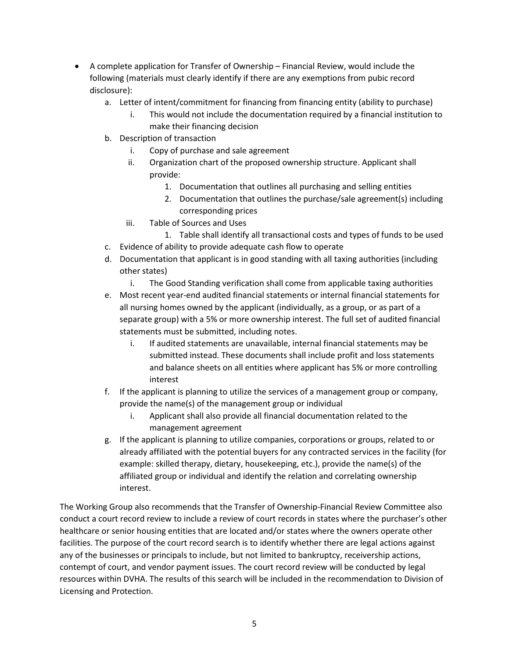- A complete application for Transfer of Ownership Financial Review, would include the following (materials must clearly identify if there are any exemptions from pubic record disclosure):
	- a. Letter of intent/commitment for financing from financing entity (ability to purchase)
		- i. This would not include the documentation required by a financial institution to make their financing decision
	- b. Description of transaction
		- i. Copy of purchase and sale agreement
		- ii. Organization chart of the proposed ownership structure. Applicant shall provide:
			- 1. Documentation that outlines all purchasing and selling entities
			- 2. Documentation that outlines the purchase/sale agreement(s) including corresponding prices
		- iii. Table of Sources and Uses
			- 1. Table shall identify all transactional costs and types of funds to be used
	- c. Evidence of ability to provide adequate cash flow to operate
	- d. Documentation that applicant is in good standing with all taxing authorities (including other states)
		- i. The Good Standing verification shall come from applicable taxing authorities
	- e. Most recent year-end audited financial statements or internal financial statements for all nursing homes owned by the applicant (individually, as a group, or as part of a separate group) with a 5% or more ownership interest. The full set of audited financial statements must be submitted, including notes.
		- i. If audited statements are unavailable, internal financial statements may be submitted instead. These documents shall include profit and loss statements and balance sheets on all entities where applicant has 5% or more controlling interest
	- f. If the applicant is planning to utilize the services of a management group or company, provide the name(s) of the management group or individual
		- i. Applicant shall also provide all financial documentation related to the management agreement
	- g. If the applicant is planning to utilize companies, corporations or groups, related to or already affiliated with the potential buyers for any contracted services in the facility (for example: skilled therapy, dietary, housekeeping, etc.), provide the name(s) of the affiliated group or individual and identify the relation and correlating ownership interest.

The Working Group also recommends that the Transfer of Ownership-Financial Review Committee also conduct a court record review to include a review of court records in states where the purchaser's other healthcare or senior housing entities that are located and/or states where the owners operate other facilities. The purpose of the court record search is to identify whether there are legal actions against any of the businesses or principals to include, but not limited to bankruptcy, receivership actions, contempt of court, and vendor payment issues. The court record review will be conducted by legal resources within DVHA. The results of this search will be included in the recommendation to Division of Licensing and Protection.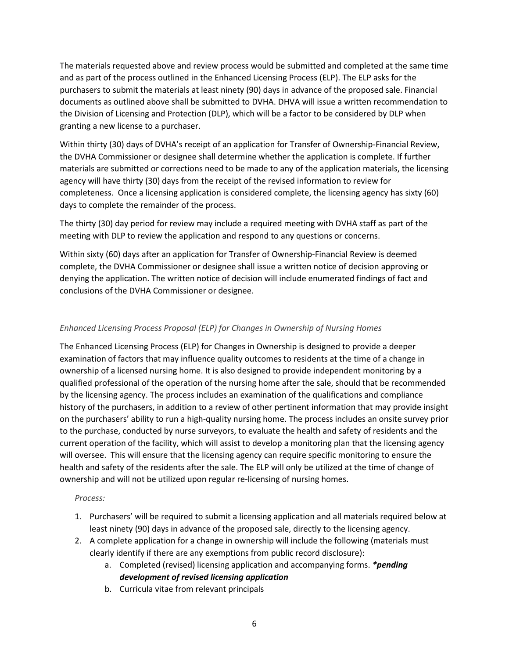The materials requested above and review process would be submitted and completed at the same time and as part of the process outlined in the Enhanced Licensing Process (ELP). The ELP asks for the purchasers to submit the materials at least ninety (90) days in advance of the proposed sale. Financial documents as outlined above shall be submitted to DVHA. DHVA will issue a written recommendation to the Division of Licensing and Protection (DLP), which will be a factor to be considered by DLP when granting a new license to a purchaser.

Within thirty (30) days of DVHA's receipt of an application for Transfer of Ownership-Financial Review, the DVHA Commissioner or designee shall determine whether the application is complete. If further materials are submitted or corrections need to be made to any of the application materials, the licensing agency will have thirty (30) days from the receipt of the revised information to review for completeness. Once a licensing application is considered complete, the licensing agency has sixty (60) days to complete the remainder of the process.

The thirty (30) day period for review may include a required meeting with DVHA staff as part of the meeting with DLP to review the application and respond to any questions or concerns.

Within sixty (60) days after an application for Transfer of Ownership-Financial Review is deemed complete, the DVHA Commissioner or designee shall issue a written notice of decision approving or denying the application. The written notice of decision will include enumerated findings of fact and conclusions of the DVHA Commissioner or designee.

## *Enhanced Licensing Process Proposal (ELP) for Changes in Ownership of Nursing Homes*

The Enhanced Licensing Process (ELP) for Changes in Ownership is designed to provide a deeper examination of factors that may influence quality outcomes to residents at the time of a change in ownership of a licensed nursing home. It is also designed to provide independent monitoring by a qualified professional of the operation of the nursing home after the sale, should that be recommended by the licensing agency. The process includes an examination of the qualifications and compliance history of the purchasers, in addition to a review of other pertinent information that may provide insight on the purchasers' ability to run a high-quality nursing home. The process includes an onsite survey prior to the purchase, conducted by nurse surveyors, to evaluate the health and safety of residents and the current operation of the facility, which will assist to develop a monitoring plan that the licensing agency will oversee. This will ensure that the licensing agency can require specific monitoring to ensure the health and safety of the residents after the sale. The ELP will only be utilized at the time of change of ownership and will not be utilized upon regular re-licensing of nursing homes.

#### *Process:*

- 1. Purchasers' will be required to submit a licensing application and all materials required below at least ninety (90) days in advance of the proposed sale, directly to the licensing agency.
- 2. A complete application for a change in ownership will include the following (materials must clearly identify if there are any exemptions from public record disclosure):
	- a. Completed (revised) licensing application and accompanying forms. *\*pending development of revised licensing application*
	- b. Curricula vitae from relevant principals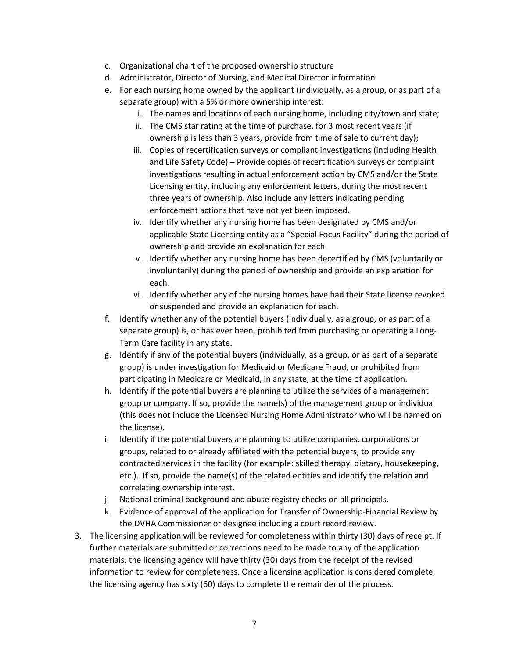- c. Organizational chart of the proposed ownership structure
- d. Administrator, Director of Nursing, and Medical Director information
- e. For each nursing home owned by the applicant (individually, as a group, or as part of a separate group) with a 5% or more ownership interest:
	- i. The names and locations of each nursing home, including city/town and state;
	- ii. The CMS star rating at the time of purchase, for 3 most recent years (if ownership is less than 3 years, provide from time of sale to current day);
	- iii. Copies of recertification surveys or compliant investigations (including Health and Life Safety Code) – Provide copies of recertification surveys or complaint investigations resulting in actual enforcement action by CMS and/or the State Licensing entity, including any enforcement letters, during the most recent three years of ownership. Also include any letters indicating pending enforcement actions that have not yet been imposed.
	- iv. Identify whether any nursing home has been designated by CMS and/or applicable State Licensing entity as a "Special Focus Facility" during the period of ownership and provide an explanation for each.
	- v. Identify whether any nursing home has been decertified by CMS (voluntarily or involuntarily) during the period of ownership and provide an explanation for each.
	- vi. Identify whether any of the nursing homes have had their State license revoked or suspended and provide an explanation for each.
- f. Identify whether any of the potential buyers (individually, as a group, or as part of a separate group) is, or has ever been, prohibited from purchasing or operating a Long-Term Care facility in any state.
- g. Identify if any of the potential buyers (individually, as a group, or as part of a separate group) is under investigation for Medicaid or Medicare Fraud, or prohibited from participating in Medicare or Medicaid, in any state, at the time of application.
- h. Identify if the potential buyers are planning to utilize the services of a management group or company. If so, provide the name(s) of the management group or individual (this does not include the Licensed Nursing Home Administrator who will be named on the license).
- i. Identify if the potential buyers are planning to utilize companies, corporations or groups, related to or already affiliated with the potential buyers, to provide any contracted services in the facility (for example: skilled therapy, dietary, housekeeping, etc.). If so, provide the name(s) of the related entities and identify the relation and correlating ownership interest.
- j. National criminal background and abuse registry checks on all principals.
- k. Evidence of approval of the application for Transfer of Ownership-Financial Review by the DVHA Commissioner or designee including a court record review.
- 3. The licensing application will be reviewed for completeness within thirty (30) days of receipt. If further materials are submitted or corrections need to be made to any of the application materials, the licensing agency will have thirty (30) days from the receipt of the revised information to review for completeness. Once a licensing application is considered complete, the licensing agency has sixty (60) days to complete the remainder of the process.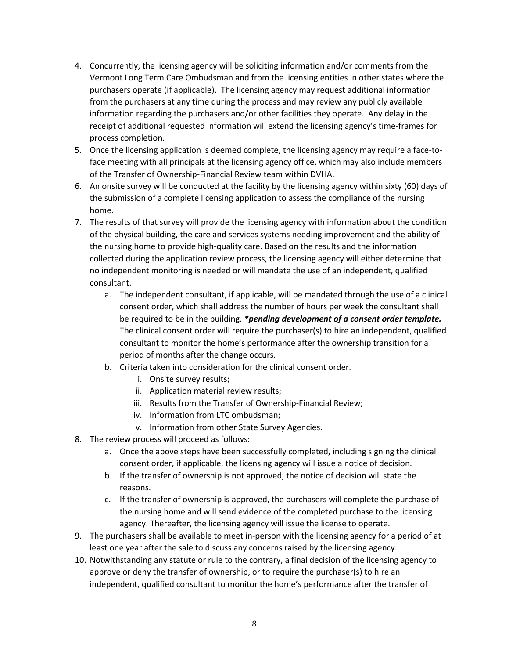- 4. Concurrently, the licensing agency will be soliciting information and/or comments from the Vermont Long Term Care Ombudsman and from the licensing entities in other states where the purchasers operate (if applicable). The licensing agency may request additional information from the purchasers at any time during the process and may review any publicly available information regarding the purchasers and/or other facilities they operate. Any delay in the receipt of additional requested information will extend the licensing agency's time-frames for process completion.
- 5. Once the licensing application is deemed complete, the licensing agency may require a face-toface meeting with all principals at the licensing agency office, which may also include members of the Transfer of Ownership-Financial Review team within DVHA.
- 6. An onsite survey will be conducted at the facility by the licensing agency within sixty (60) days of the submission of a complete licensing application to assess the compliance of the nursing home.
- 7. The results of that survey will provide the licensing agency with information about the condition of the physical building, the care and services systems needing improvement and the ability of the nursing home to provide high-quality care. Based on the results and the information collected during the application review process, the licensing agency will either determine that no independent monitoring is needed or will mandate the use of an independent, qualified consultant.
	- a. The independent consultant, if applicable, will be mandated through the use of a clinical consent order, which shall address the number of hours per week the consultant shall be required to be in the building. *\*pending development of a consent order template.*  The clinical consent order will require the purchaser(s) to hire an independent, qualified consultant to monitor the home's performance after the ownership transition for a period of months after the change occurs.
	- b. Criteria taken into consideration for the clinical consent order.
		- i. Onsite survey results;
		- ii. Application material review results;
		- iii. Results from the Transfer of Ownership-Financial Review;
		- iv. Information from LTC ombudsman;
		- v. Information from other State Survey Agencies.
- 8. The review process will proceed as follows:
	- a. Once the above steps have been successfully completed, including signing the clinical consent order, if applicable, the licensing agency will issue a notice of decision.
	- b. If the transfer of ownership is not approved, the notice of decision will state the reasons.
	- c. If the transfer of ownership is approved, the purchasers will complete the purchase of the nursing home and will send evidence of the completed purchase to the licensing agency. Thereafter, the licensing agency will issue the license to operate.
- 9. The purchasers shall be available to meet in-person with the licensing agency for a period of at least one year after the sale to discuss any concerns raised by the licensing agency.
- 10. Notwithstanding any statute or rule to the contrary, a final decision of the licensing agency to approve or deny the transfer of ownership, or to require the purchaser(s) to hire an independent, qualified consultant to monitor the home's performance after the transfer of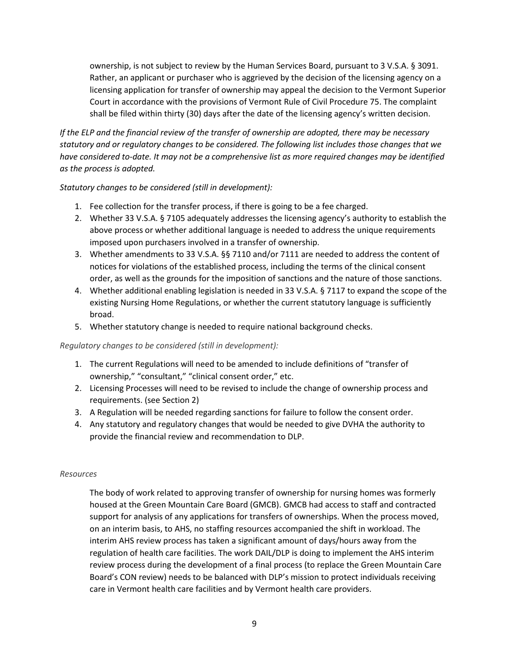ownership, is not subject to review by the Human Services Board, pursuant to 3 V.S.A. § 3091. Rather, an applicant or purchaser who is aggrieved by the decision of the licensing agency on a licensing application for transfer of ownership may appeal the decision to the Vermont Superior Court in accordance with the provisions of Vermont Rule of Civil Procedure 75. The complaint shall be filed within thirty (30) days after the date of the licensing agency's written decision.

*If the ELP and the financial review of the transfer of ownership are adopted, there may be necessary statutory and or regulatory changes to be considered. The following list includes those changes that we have considered to-date. It may not be a comprehensive list as more required changes may be identified as the process is adopted.* 

#### *Statutory changes to be considered (still in development):*

- 1. Fee collection for the transfer process, if there is going to be a fee charged.
- 2. Whether 33 V.S.A. § 7105 adequately addresses the licensing agency's authority to establish the above process or whether additional language is needed to address the unique requirements imposed upon purchasers involved in a transfer of ownership.
- 3. Whether amendments to 33 V.S.A. §§ 7110 and/or 7111 are needed to address the content of notices for violations of the established process, including the terms of the clinical consent order, as well as the grounds for the imposition of sanctions and the nature of those sanctions.
- 4. Whether additional enabling legislation is needed in 33 V.S.A. § 7117 to expand the scope of the existing Nursing Home Regulations, or whether the current statutory language is sufficiently broad.
- 5. Whether statutory change is needed to require national background checks.

#### *Regulatory changes to be considered (still in development):*

- 1. The current Regulations will need to be amended to include definitions of "transfer of ownership," "consultant," "clinical consent order," etc.
- 2. Licensing Processes will need to be revised to include the change of ownership process and requirements. (see Section 2)
- 3. A Regulation will be needed regarding sanctions for failure to follow the consent order.
- 4. Any statutory and regulatory changes that would be needed to give DVHA the authority to provide the financial review and recommendation to DLP.

#### *Resources*

The body of work related to approving transfer of ownership for nursing homes was formerly housed at the Green Mountain Care Board (GMCB). GMCB had access to staff and contracted support for analysis of any applications for transfers of ownerships. When the process moved, on an interim basis, to AHS, no staffing resources accompanied the shift in workload. The interim AHS review process has taken a significant amount of days/hours away from the regulation of health care facilities. The work DAIL/DLP is doing to implement the AHS interim review process during the development of a final process (to replace the Green Mountain Care Board's CON review) needs to be balanced with DLP's mission to protect individuals receiving care in Vermont health care facilities and by Vermont health care providers.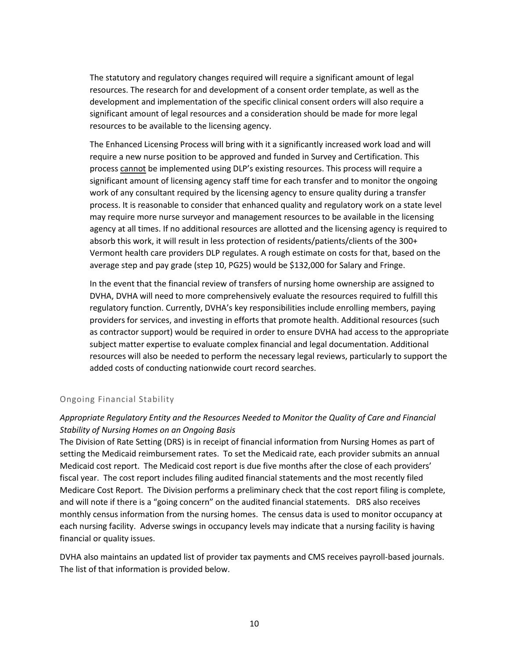The statutory and regulatory changes required will require a significant amount of legal resources. The research for and development of a consent order template, as well as the development and implementation of the specific clinical consent orders will also require a significant amount of legal resources and a consideration should be made for more legal resources to be available to the licensing agency.

The Enhanced Licensing Process will bring with it a significantly increased work load and will require a new nurse position to be approved and funded in Survey and Certification. This process cannot be implemented using DLP's existing resources. This process will require a significant amount of licensing agency staff time for each transfer and to monitor the ongoing work of any consultant required by the licensing agency to ensure quality during a transfer process. It is reasonable to consider that enhanced quality and regulatory work on a state level may require more nurse surveyor and management resources to be available in the licensing agency at all times. If no additional resources are allotted and the licensing agency is required to absorb this work, it will result in less protection of residents/patients/clients of the 300+ Vermont health care providers DLP regulates. A rough estimate on costs for that, based on the average step and pay grade (step 10, PG25) would be \$132,000 for Salary and Fringe.

In the event that the financial review of transfers of nursing home ownership are assigned to DVHA, DVHA will need to more comprehensively evaluate the resources required to fulfill this regulatory function. Currently, DVHA's key responsibilities include enrolling members, paying providers for services, and investing in efforts that promote health. Additional resources (such as contractor support) would be required in order to ensure DVHA had access to the appropriate subject matter expertise to evaluate complex financial and legal documentation. Additional resources will also be needed to perform the necessary legal reviews, particularly to support the added costs of conducting nationwide court record searches.

## Ongoing Financial Stability

# *Appropriate Regulatory Entity and the Resources Needed to Monitor the Quality of Care and Financial Stability of Nursing Homes on an Ongoing Basis*

The Division of Rate Setting (DRS) is in receipt of financial information from Nursing Homes as part of setting the Medicaid reimbursement rates. To set the Medicaid rate, each provider submits an annual Medicaid cost report. The Medicaid cost report is due five months after the close of each providers' fiscal year. The cost report includes filing audited financial statements and the most recently filed Medicare Cost Report. The Division performs a preliminary check that the cost report filing is complete, and will note if there is a "going concern" on the audited financial statements. DRS also receives monthly census information from the nursing homes. The census data is used to monitor occupancy at each nursing facility. Adverse swings in occupancy levels may indicate that a nursing facility is having financial or quality issues.

DVHA also maintains an updated list of provider tax payments and CMS receives payroll-based journals. The list of that information is provided below.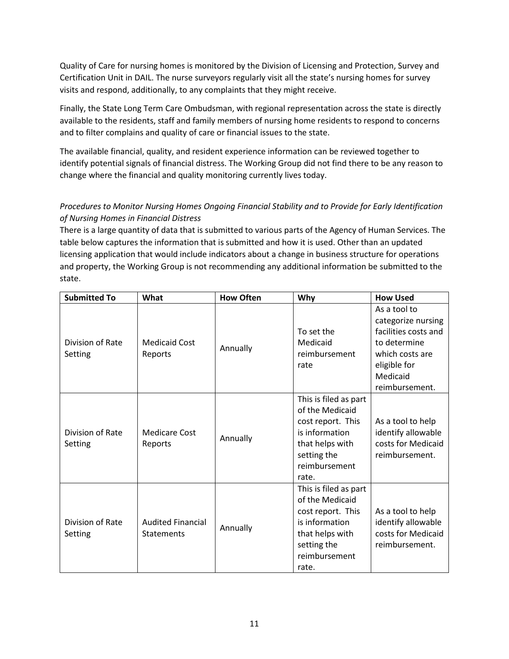Quality of Care for nursing homes is monitored by the Division of Licensing and Protection, Survey and Certification Unit in DAIL. The nurse surveyors regularly visit all the state's nursing homes for survey visits and respond, additionally, to any complaints that they might receive.

Finally, the State Long Term Care Ombudsman, with regional representation across the state is directly available to the residents, staff and family members of nursing home residents to respond to concerns and to filter complains and quality of care or financial issues to the state.

The available financial, quality, and resident experience information can be reviewed together to identify potential signals of financial distress. The Working Group did not find there to be any reason to change where the financial and quality monitoring currently lives today.

# *Procedures to Monitor Nursing Homes Ongoing Financial Stability and to Provide for Early Identification of Nursing Homes in Financial Distress*

There is a large quantity of data that is submitted to various parts of the Agency of Human Services. The table below captures the information that is submitted and how it is used. Other than an updated licensing application that would include indicators about a change in business structure for operations and property, the Working Group is not recommending any additional information be submitted to the state.

| <b>Submitted To</b>         | What                                          | <b>How Often</b> | Why                                                                                                                                         | <b>How Used</b>                                                                                                                             |
|-----------------------------|-----------------------------------------------|------------------|---------------------------------------------------------------------------------------------------------------------------------------------|---------------------------------------------------------------------------------------------------------------------------------------------|
| Division of Rate<br>Setting | <b>Medicaid Cost</b><br>Reports               | Annually         | To set the<br>Medicaid<br>reimbursement<br>rate                                                                                             | As a tool to<br>categorize nursing<br>facilities costs and<br>to determine<br>which costs are<br>eligible for<br>Medicaid<br>reimbursement. |
| Division of Rate<br>Setting | Medicare Cost<br>Reports                      | Annually         | This is filed as part<br>of the Medicaid<br>cost report. This<br>is information<br>that helps with<br>setting the<br>reimbursement<br>rate. | As a tool to help<br>identify allowable<br>costs for Medicaid<br>reimbursement.                                                             |
| Division of Rate<br>Setting | <b>Audited Financial</b><br><b>Statements</b> | Annually         | This is filed as part<br>of the Medicaid<br>cost report. This<br>is information<br>that helps with<br>setting the<br>reimbursement<br>rate. | As a tool to help<br>identify allowable<br>costs for Medicaid<br>reimbursement.                                                             |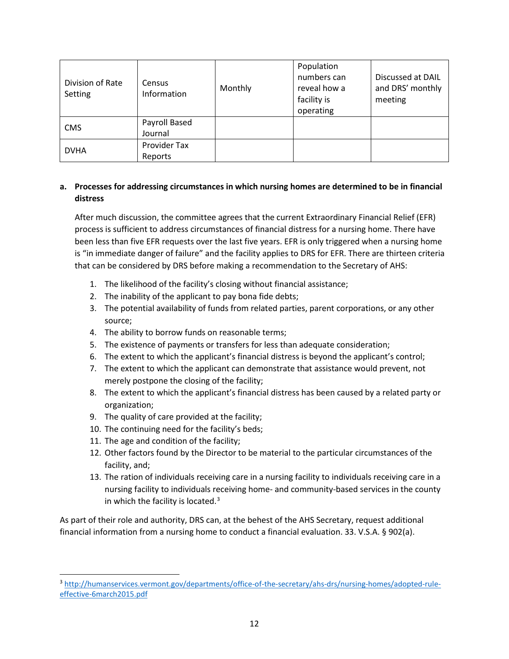| Division of Rate<br>Setting | Census<br>Information    | Monthly | Population<br>numbers can<br>reveal how a<br>facility is<br>operating | Discussed at DAIL<br>and DRS' monthly<br>meeting |
|-----------------------------|--------------------------|---------|-----------------------------------------------------------------------|--------------------------------------------------|
| <b>CMS</b>                  | Payroll Based<br>Journal |         |                                                                       |                                                  |
| <b>DVHA</b>                 | Provider Tax<br>Reports  |         |                                                                       |                                                  |

## **a. Processes for addressing circumstances in which nursing homes are determined to be in financial distress**

After much discussion, the committee agrees that the current Extraordinary Financial Relief (EFR) process is sufficient to address circumstances of financial distress for a nursing home. There have been less than five EFR requests over the last five years. EFR is only triggered when a nursing home is "in immediate danger of failure" and the facility applies to DRS for EFR. There are thirteen criteria that can be considered by DRS before making a recommendation to the Secretary of AHS:

- 1. The likelihood of the facility's closing without financial assistance;
- 2. The inability of the applicant to pay bona fide debts;
- 3. The potential availability of funds from related parties, parent corporations, or any other source;
- 4. The ability to borrow funds on reasonable terms;
- 5. The existence of payments or transfers for less than adequate consideration;
- 6. The extent to which the applicant's financial distress is beyond the applicant's control;
- 7. The extent to which the applicant can demonstrate that assistance would prevent, not merely postpone the closing of the facility;
- 8. The extent to which the applicant's financial distress has been caused by a related party or organization;
- 9. The quality of care provided at the facility;
- 10. The continuing need for the facility's beds;
- 11. The age and condition of the facility;

l

- 12. Other factors found by the Director to be material to the particular circumstances of the facility, and;
- 13. The ration of individuals receiving care in a nursing facility to individuals receiving care in a nursing facility to individuals receiving home- and community-based services in the county in which the facility is located.<sup>[3](#page-12-0)</sup>

As part of their role and authority, DRS can, at the behest of the AHS Secretary, request additional financial information from a nursing home to conduct a financial evaluation. 33. V.S.A. § 902(a).

<span id="page-12-0"></span><sup>3</sup> [http://humanservices.vermont.gov/departments/office-of-the-secretary/ahs-drs/nursing-homes/adopted-rule](http://humanservices.vermont.gov/departments/office-of-the-secretary/ahs-drs/nursing-homes/adopted-rule-effective-6march2015.pdf)[effective-6march2015.pdf](http://humanservices.vermont.gov/departments/office-of-the-secretary/ahs-drs/nursing-homes/adopted-rule-effective-6march2015.pdf)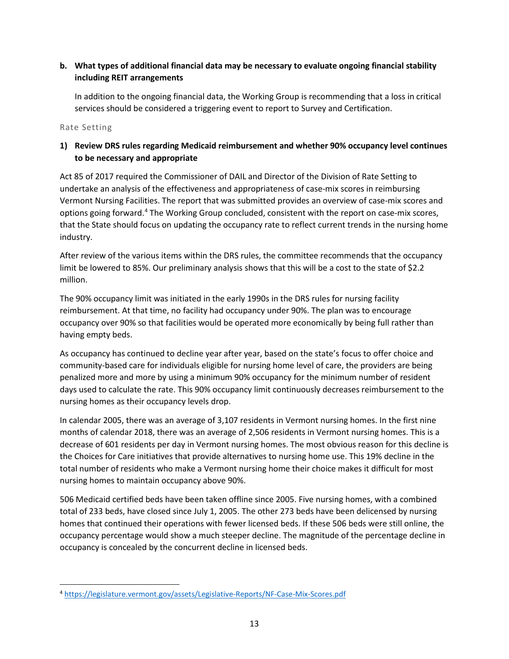# **b. What types of additional financial data may be necessary to evaluate ongoing financial stability including REIT arrangements**

In addition to the ongoing financial data, the Working Group is recommending that a loss in critical services should be considered a triggering event to report to Survey and Certification.

Rate Setting

# **1) Review DRS rules regarding Medicaid reimbursement and whether 90% occupancy level continues to be necessary and appropriate**

Act 85 of 2017 required the Commissioner of DAIL and Director of the Division of Rate Setting to undertake an analysis of the effectiveness and appropriateness of case-mix scores in reimbursing Vermont Nursing Facilities. The report that was submitted provides an overview of case-mix scores and options going forward.[4](#page-13-0) The Working Group concluded, consistent with the report on case-mix scores, that the State should focus on updating the occupancy rate to reflect current trends in the nursing home industry.

After review of the various items within the DRS rules, the committee recommends that the occupancy limit be lowered to 85%. Our preliminary analysis shows that this will be a cost to the state of \$2.2 million.

The 90% occupancy limit was initiated in the early 1990s in the DRS rules for nursing facility reimbursement. At that time, no facility had occupancy under 90%. The plan was to encourage occupancy over 90% so that facilities would be operated more economically by being full rather than having empty beds.

As occupancy has continued to decline year after year, based on the state's focus to offer choice and community-based care for individuals eligible for nursing home level of care, the providers are being penalized more and more by using a minimum 90% occupancy for the minimum number of resident days used to calculate the rate. This 90% occupancy limit continuously decreases reimbursement to the nursing homes as their occupancy levels drop.

In calendar 2005, there was an average of 3,107 residents in Vermont nursing homes. In the first nine months of calendar 2018, there was an average of 2,506 residents in Vermont nursing homes. This is a decrease of 601 residents per day in Vermont nursing homes. The most obvious reason for this decline is the Choices for Care initiatives that provide alternatives to nursing home use. This 19% decline in the total number of residents who make a Vermont nursing home their choice makes it difficult for most nursing homes to maintain occupancy above 90%.

506 Medicaid certified beds have been taken offline since 2005. Five nursing homes, with a combined total of 233 beds, have closed since July 1, 2005. The other 273 beds have been delicensed by nursing homes that continued their operations with fewer licensed beds. If these 506 beds were still online, the occupancy percentage would show a much steeper decline. The magnitude of the percentage decline in occupancy is concealed by the concurrent decline in licensed beds.

<span id="page-13-0"></span> $\overline{\phantom{a}}$ <sup>4</sup> <https://legislature.vermont.gov/assets/Legislative-Reports/NF-Case-Mix-Scores.pdf>